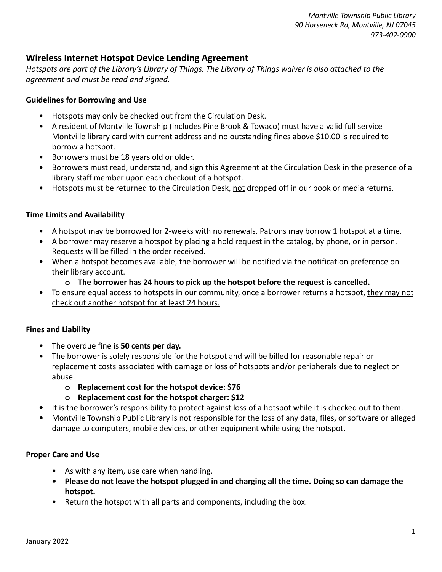*Montville Township Public Library 90 Horseneck Rd, Montville, NJ 07045 973-402-0900*

## **Wireless Internet Hotspot Device Lending Agreement**

*Hotspots are part of the Library's Library of Things. The Library of Things waiver is also attached to the agreement and must be read and signed.*

#### **Guidelines for Borrowing and Use**

- Hotspots may only be checked out from the Circulation Desk.
- A resident of Montville Township (includes Pine Brook & Towaco) must have a valid full service Montville library card with current address and no outstanding fines above \$10.00 is required to borrow a hotspot.
- Borrowers must be 18 years old or older.
- Borrowers must read, understand, and sign this Agreement at the Circulation Desk in the presence of a library staff member upon each checkout of a hotspot.
- Hotspots must be returned to the Circulation Desk, not dropped off in our book or media returns.

### **Time Limits and Availability**

- A hotspot may be borrowed for 2-weeks with no renewals. Patrons may borrow 1 hotspot at a time.
- A borrower may reserve a hotspot by placing a hold request in the catalog, by phone, or in person. Requests will be filled in the order received.
- When a hotspot becomes available, the borrower will be notified via the notification preference on their library account.
	- **o The borrower has 24 hours to pick up the hotspot before the request is cancelled.**
- To ensure equal access to hotspots in our community, once a borrower returns a hotspot, they may not check out another hotspot for at least 24 hours.

#### **Fines and Liability**

- The overdue fine is **50 cents per day.**
- The borrower is solely responsible for the hotspot and will be billed for reasonable repair or replacement costs associated with damage or loss of hotspots and/or peripherals due to neglect or abuse.
	- **o Replacement cost for the hotspot device: \$76**
	- **o Replacement cost for the hotspot charger: \$12**
- **•** It is the borrower's responsibility to protect against loss of a hotspot while it is checked out to them.
- **•** Montville Township Public Library is not responsible for the loss of any data, files, or software or alleged damage to computers, mobile devices, or other equipment while using the hotspot.

#### **Proper Care and Use**

- As with any item, use care when handling.
- **• Please do not leave the hotspot plugged in and charging all the time. Doing so can damage the hotspot.**
- Return the hotspot with all parts and components, including the box.